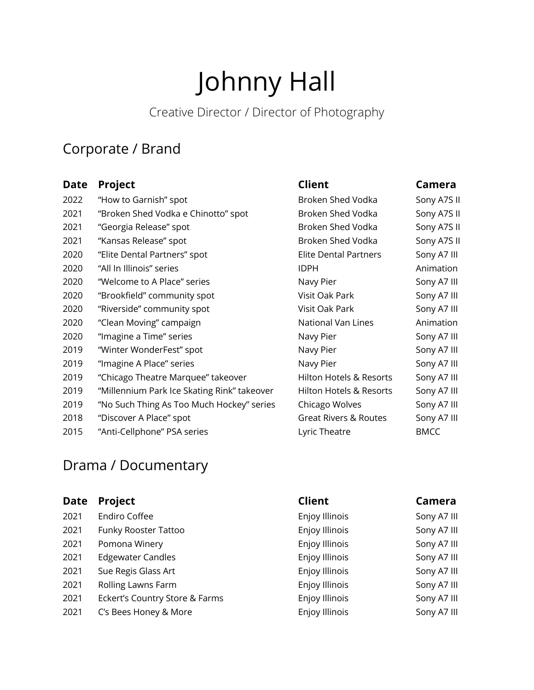# Johnny Hall

# Creative Director / Director of Photography

#### Corporate / Brand

| <b>Date</b> | Project                                     | <b>Client</b>                      | Camera      |
|-------------|---------------------------------------------|------------------------------------|-------------|
| 2022        | "How to Garnish" spot                       | Broken Shed Vodka                  | Sony A7S II |
| 2021        | "Broken Shed Vodka e Chinotto" spot         | Broken Shed Vodka                  | Sony A7S II |
| 2021        | "Georgia Release" spot                      | Broken Shed Vodka                  | Sony A7S II |
| 2021        | "Kansas Release" spot                       | Broken Shed Vodka                  | Sony A7S II |
| 2020        | "Elite Dental Partners" spot                | <b>Elite Dental Partners</b>       | Sony A7 III |
| 2020        | "All In Illinois" series                    | <b>IDPH</b>                        | Animation   |
| 2020        | "Welcome to A Place" series                 | Navy Pier                          | Sony A7 III |
| 2020        | "Brookfield" community spot                 | Visit Oak Park                     | Sony A7 III |
| 2020        | "Riverside" community spot                  | Visit Oak Park                     | Sony A7 III |
| 2020        | "Clean Moving" campaign                     | National Van Lines                 | Animation   |
| 2020        | "Imagine a Time" series                     | Navy Pier                          | Sony A7 III |
| 2019        | "Winter WonderFest" spot                    | Navy Pier                          | Sony A7 III |
| 2019        | "Imagine A Place" series                    | Navy Pier                          | Sony A7 III |
| 2019        | "Chicago Theatre Marquee" takeover          | <b>Hilton Hotels &amp; Resorts</b> | Sony A7 III |
| 2019        | "Millennium Park Ice Skating Rink" takeover | <b>Hilton Hotels &amp; Resorts</b> | Sony A7 III |
| 2019        | "No Such Thing As Too Much Hockey" series   | Chicago Wolves                     | Sony A7 III |
| 2018        | "Discover A Place" spot                     | <b>Great Rivers &amp; Routes</b>   | Sony A7 III |
| 2015        | "Anti-Cellphone" PSA series                 | Lyric Theatre                      | <b>BMCC</b> |

## Drama / Documentary

| <b>Date</b> | <b>Project</b>                 | <b>Client</b>  | Camera      |
|-------------|--------------------------------|----------------|-------------|
| 2021        | Endiro Coffee                  | Enjoy Illinois | Sony A7 III |
| 2021        | Funky Rooster Tattoo           | Enjoy Illinois | Sony A7 III |
| 2021        | Pomona Winery                  | Enjoy Illinois | Sony A7 III |
| 2021        | <b>Edgewater Candles</b>       | Enjoy Illinois | Sony A7 III |
| 2021        | Sue Regis Glass Art            | Enjoy Illinois | Sony A7 III |
| 2021        | Rolling Lawns Farm             | Enjoy Illinois | Sony A7 III |
| 2021        | Eckert's Country Store & Farms | Enjoy Illinois | Sony A7 III |
| 2021        | C's Bees Honey & More          | Enjoy Illinois | Sony A7 III |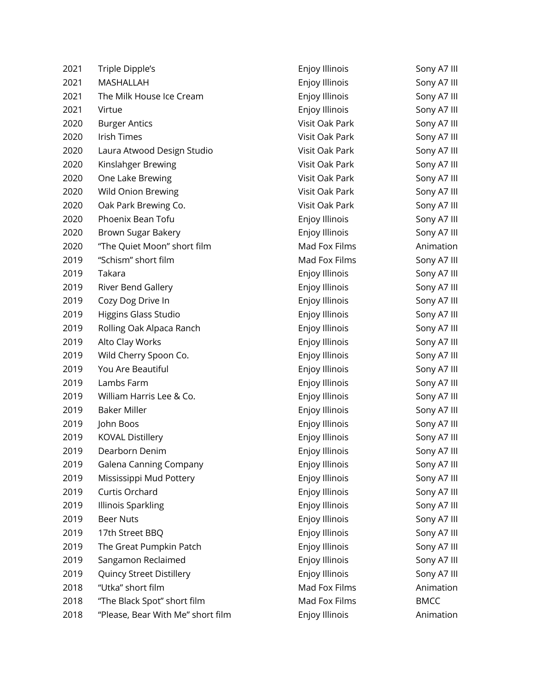| 2021 | Triple Dipple's                   | Enjoy Illinois        | Sony A7 III |
|------|-----------------------------------|-----------------------|-------------|
| 2021 | MASHALLAH                         | Enjoy Illinois        | Sony A7 III |
| 2021 | The Milk House Ice Cream          | Enjoy Illinois        | Sony A7 III |
| 2021 | Virtue                            | Enjoy Illinois        | Sony A7 III |
| 2020 | <b>Burger Antics</b>              | Visit Oak Park        | Sony A7 III |
| 2020 | Irish Times                       | Visit Oak Park        | Sony A7 III |
| 2020 | Laura Atwood Design Studio        | Visit Oak Park        | Sony A7 III |
| 2020 | Kinslahger Brewing                | Visit Oak Park        | Sony A7 III |
| 2020 | One Lake Brewing                  | Visit Oak Park        | Sony A7 III |
| 2020 | Wild Onion Brewing                | Visit Oak Park        | Sony A7 III |
| 2020 | Oak Park Brewing Co.              | Visit Oak Park        | Sony A7 III |
| 2020 | Phoenix Bean Tofu                 | Enjoy Illinois        | Sony A7 III |
| 2020 | Brown Sugar Bakery                | Enjoy Illinois        | Sony A7 III |
| 2020 | "The Quiet Moon" short film       | Mad Fox Films         | Animation   |
| 2019 | "Schism" short film               | Mad Fox Films         | Sony A7 III |
| 2019 | Takara                            | Enjoy Illinois        | Sony A7 III |
| 2019 | River Bend Gallery                | Enjoy Illinois        | Sony A7 III |
| 2019 | Cozy Dog Drive In                 | Enjoy Illinois        | Sony A7 III |
| 2019 | Higgins Glass Studio              | Enjoy Illinois        | Sony A7 III |
| 2019 | Rolling Oak Alpaca Ranch          | Enjoy Illinois        | Sony A7 III |
| 2019 | Alto Clay Works                   | Enjoy Illinois        | Sony A7 III |
| 2019 | Wild Cherry Spoon Co.             | Enjoy Illinois        | Sony A7 III |
| 2019 | You Are Beautiful                 | Enjoy Illinois        | Sony A7 III |
| 2019 | Lambs Farm                        | Enjoy Illinois        | Sony A7 III |
| 2019 | William Harris Lee & Co.          | Enjoy Illinois        | Sony A7 III |
| 2019 | <b>Baker Miller</b>               | Enjoy Illinois        | Sony A7 III |
| 2019 | John Boos                         | Enjoy Illinois        | Sony A7 III |
| 2019 | <b>KOVAL Distillery</b>           | Enjoy Illinois        | Sony A7 III |
| 2019 | Dearborn Denim                    | Enjoy Illinois        | Sony A7 III |
| 2019 | Galena Canning Company            | Enjoy Illinois        | Sony A7 III |
| 2019 | Mississippi Mud Pottery           | Enjoy Illinois        | Sony A7 III |
| 2019 | Curtis Orchard                    | Enjoy Illinois        | Sony A7 III |
| 2019 | <b>Illinois Sparkling</b>         | Enjoy Illinois        | Sony A7 III |
| 2019 | <b>Beer Nuts</b>                  | <b>Enjoy Illinois</b> | Sony A7 III |
| 2019 | 17th Street BBQ                   | Enjoy Illinois        | Sony A7 III |
| 2019 | The Great Pumpkin Patch           | Enjoy Illinois        | Sony A7 III |
| 2019 | Sangamon Reclaimed                | Enjoy Illinois        | Sony A7 III |
| 2019 | Quincy Street Distillery          | Enjoy Illinois        | Sony A7 III |
| 2018 | "Utka" short film                 | Mad Fox Films         | Animation   |
| 2018 | "The Black Spot" short film       | Mad Fox Films         | <b>BMCC</b> |
| 2018 | "Please, Bear With Me" short film | Enjoy Illinois        | Animation   |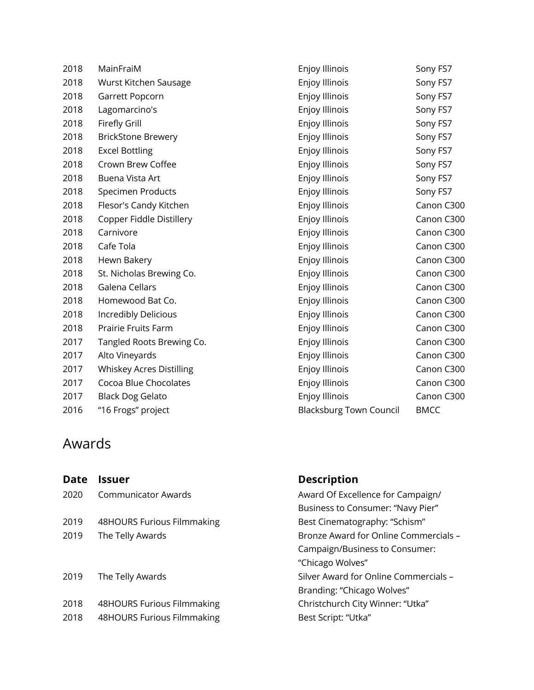| 2018 | MainFraiM                       | Enjoy Illinois                 | Sony FS7    |
|------|---------------------------------|--------------------------------|-------------|
| 2018 | Wurst Kitchen Sausage           | Enjoy Illinois                 | Sony FS7    |
| 2018 | Garrett Popcorn                 | <b>Enjoy Illinois</b>          | Sony FS7    |
| 2018 | Lagomarcino's                   | Enjoy Illinois                 | Sony FS7    |
| 2018 | Firefly Grill                   | Enjoy Illinois                 | Sony FS7    |
| 2018 | <b>BrickStone Brewery</b>       | Enjoy Illinois                 | Sony FS7    |
| 2018 | <b>Excel Bottling</b>           | Enjoy Illinois                 | Sony FS7    |
| 2018 | Crown Brew Coffee               | Enjoy Illinois                 | Sony FS7    |
| 2018 | Buena Vista Art                 | Enjoy Illinois                 | Sony FS7    |
| 2018 | Specimen Products               | Enjoy Illinois                 | Sony FS7    |
| 2018 | Flesor's Candy Kitchen          | Enjoy Illinois                 | Canon C300  |
| 2018 | Copper Fiddle Distillery        | Enjoy Illinois                 | Canon C300  |
| 2018 | Carnivore                       | Enjoy Illinois                 | Canon C300  |
| 2018 | Cafe Tola                       | <b>Enjoy Illinois</b>          | Canon C300  |
| 2018 | Hewn Bakery                     | Enjoy Illinois                 | Canon C300  |
| 2018 | St. Nicholas Brewing Co.        | Enjoy Illinois                 | Canon C300  |
| 2018 | Galena Cellars                  | Enjoy Illinois                 | Canon C300  |
| 2018 | Homewood Bat Co.                | Enjoy Illinois                 | Canon C300  |
| 2018 | Incredibly Delicious            | Enjoy Illinois                 | Canon C300  |
| 2018 | Prairie Fruits Farm             | Enjoy Illinois                 | Canon C300  |
| 2017 | Tangled Roots Brewing Co.       | Enjoy Illinois                 | Canon C300  |
| 2017 | Alto Vineyards                  | Enjoy Illinois                 | Canon C300  |
| 2017 | <b>Whiskey Acres Distilling</b> | Enjoy Illinois                 | Canon C300  |
| 2017 | Cocoa Blue Chocolates           | Enjoy Illinois                 | Canon C300  |
| 2017 | <b>Black Dog Gelato</b>         | Enjoy Illinois                 | Canon C300  |
| 2016 | "16 Frogs" project              | <b>Blacksburg Town Council</b> | <b>BMCC</b> |
|      |                                 |                                |             |

## Awards

| Date | <b>Issuer</b>              | <b>Description</b>                    |
|------|----------------------------|---------------------------------------|
| 2020 | <b>Communicator Awards</b> | Award Of Excellence for Campaign/     |
|      |                            | Business to Consumer: "Navy Pier"     |
| 2019 | 48HOURS Furious Filmmaking | Best Cinematography: "Schism"         |
| 2019 | The Telly Awards           | Bronze Award for Online Commercials - |
|      |                            | Campaign/Business to Consumer:        |
|      |                            | "Chicago Wolves"                      |
| 2019 | The Telly Awards           | Silver Award for Online Commercials - |
|      |                            | Branding: "Chicago Wolves"            |
| 2018 | 48HOURS Furious Filmmaking | Christchurch City Winner: "Utka"      |
| 2018 | 48HOURS Furious Filmmaking | Best Script: "Utka"                   |